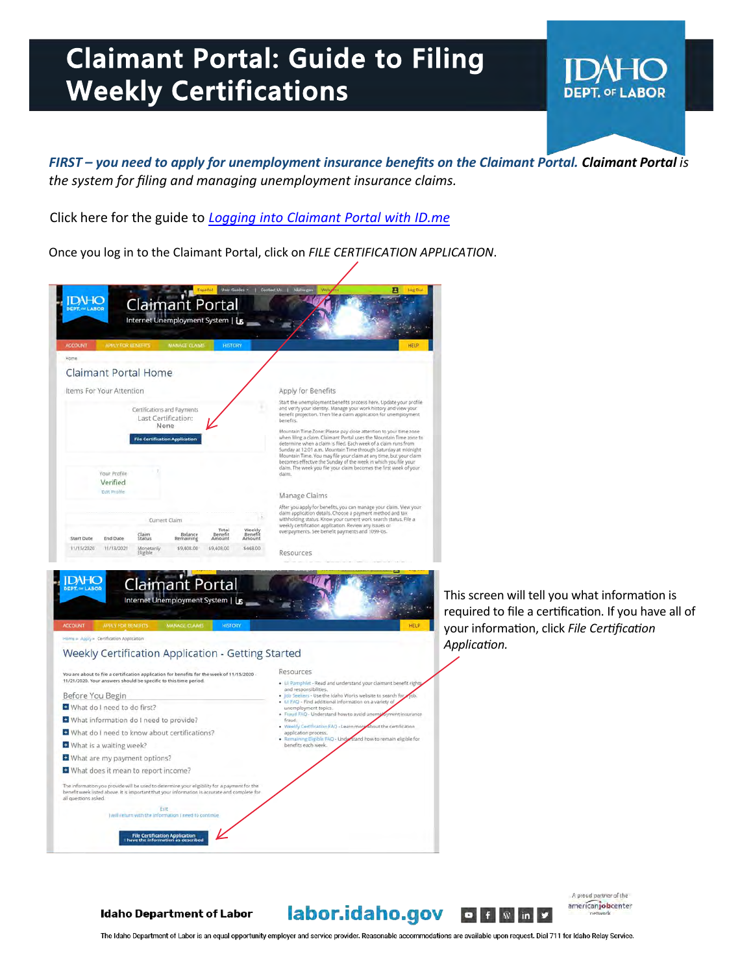## **Claimant Portal: Guide to Filing Claimant Portal: Guide to Filing Weekly Certifications Weekly Certifications**

*FIRST – you need to apply for unemployment insurance benefits on the Claimant Portal. Claimant Portal is the system for filing and managing unemployment insurance claims.* 

Click here for the guide to *[Logging into Claimant Portal with ID.me](https://www.labor.idaho.gov/dnn/Portals/0/ui/ID.me_sign-in_guide.pdf?ver=2021-10-12-103419-700)*

Once you log in to the Claimant Portal, click on *FILE CERTIFICATION APPLICATION*.



This screen will tell you what information is required to file a certification. If you have all of your information, click *File Certification Application.*

DAH ( **DEPT. OF LABOR** 

**Idaho Department of Labor** 

## labor.idaho.gov  $\bullet$   $\bullet$   $\bullet$   $\bullet$   $\bullet$

A proud partner of the americanjobcenter

The Idaho Department of Labor is an equal opportunity employer and service provider. Reasonable accommodations are available upon request. Dial 711 for Idaho Relay Service.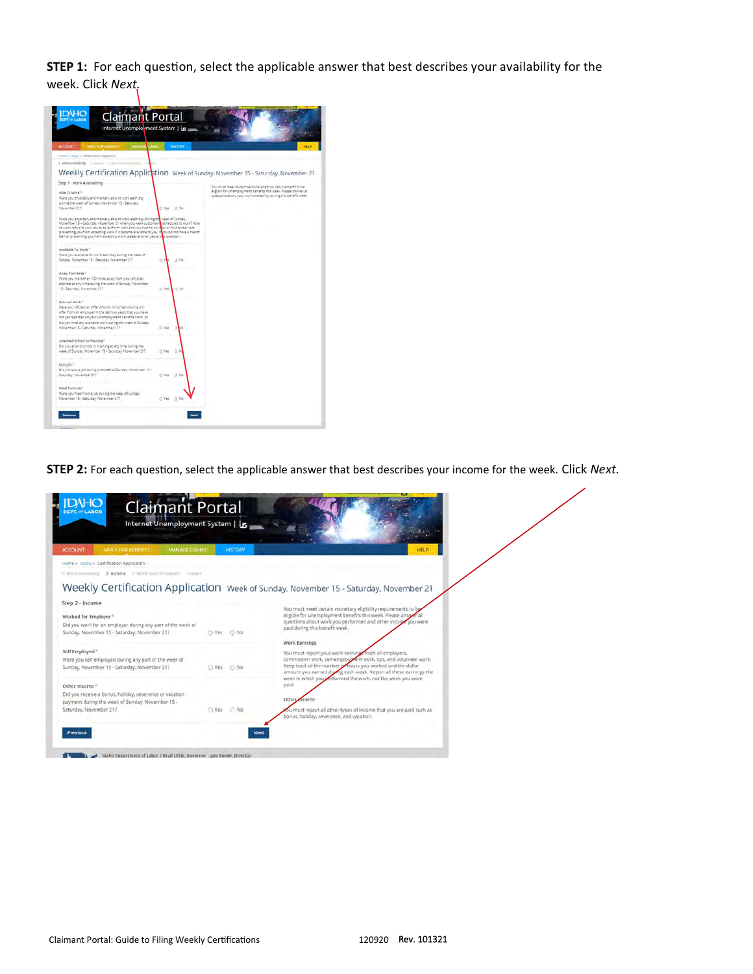**STEP 1:** For each question, select the applicable answer that best describes your availability for the week. Click *Next.*

| <b>ACCOUNT</b><br><b>MARAZZI SORANI</b><br><b>MARY FOR BOWERTS</b>                                                                                                                                                                                                                                                                                                                                                                                         |        | <b>INSTERT</b> | HELP                                                                                                                                                                                                 |
|------------------------------------------------------------------------------------------------------------------------------------------------------------------------------------------------------------------------------------------------------------------------------------------------------------------------------------------------------------------------------------------------------------------------------------------------------------|--------|----------------|------------------------------------------------------------------------------------------------------------------------------------------------------------------------------------------------------|
| United Hages Constitutions (Appellation)                                                                                                                                                                                                                                                                                                                                                                                                                   |        |                |                                                                                                                                                                                                      |
| 1 600 Autobility   Louis   Illinois                                                                                                                                                                                                                                                                                                                                                                                                                        |        |                |                                                                                                                                                                                                      |
|                                                                                                                                                                                                                                                                                                                                                                                                                                                            |        |                | Weekly Certification Application Week of Sunday, November 15 - Saturday, November 21                                                                                                                 |
| Step 1 - Work Availability                                                                                                                                                                                                                                                                                                                                                                                                                                 |        |                |                                                                                                                                                                                                      |
| Able To Work<br>Were you physically and mentally able to work each day<br>during the week of Sunday. November 15 - Saturday.<br>November 217                                                                                                                                                                                                                                                                                                               |        | D'Ves - D No   | You must meet tertain personal eligibility requirements to be<br>aligible for Unamployment banafits this Week. Please answer all<br>cuestions about your work availability during this banafit week. |
| Were you physically and mentally able to work each day during the week of Eunday.<br>November 15 - Saturday, November 21 when you were customarily scheduled to work? Able<br>to work refers to your solity to berform work and you had no physical or mental barriers<br>pravancing you from accepting work if it decame available to you. If you do not have a health<br>barrier preventing you from accepting work, please answer yes to this question. |        |                |                                                                                                                                                                                                      |
| Available for Work."                                                                                                                                                                                                                                                                                                                                                                                                                                       |        |                |                                                                                                                                                                                                      |
| Were you available for work each day during the week of<br>Sunday Navember 15 - Saturday November 217                                                                                                                                                                                                                                                                                                                                                      | D      | (3.748)        |                                                                                                                                                                                                      |
| Away from Area."                                                                                                                                                                                                                                                                                                                                                                                                                                           |        |                |                                                                                                                                                                                                      |
| Were you more than 100 miles away from your physical<br>address at any lime during the week of Sunday. November<br>15 - Saturday, November 217                                                                                                                                                                                                                                                                                                             | CL Yez | r3.14p         |                                                                                                                                                                                                      |
| <b>Refused Work?</b><br>Have you'refused an offer of work or curried down a job<br>offer from an employer in the last two years that you fleve<br>not yet reported on your unamployment banefits claim, or<br>did you miss any available work puring the lidest of Sunday.<br>November 15 - Saturday, November 217                                                                                                                                         |        | U Ves U No     |                                                                                                                                                                                                      |
| Attended School or Training*                                                                                                                                                                                                                                                                                                                                                                                                                               |        |                |                                                                                                                                                                                                      |
| Did you attend school or training at any time during the.<br>Heek of Sunday, November 15 - Saturday, November 217                                                                                                                                                                                                                                                                                                                                          | C: Ves | $-0.5$         |                                                                                                                                                                                                      |
| Ouir job."<br>Did you quit a job during the meet of Sunday. November 15 /<br>Saturday, November 217                                                                                                                                                                                                                                                                                                                                                        | D Yes  | $C3$ Ma        |                                                                                                                                                                                                      |
| Fired from Job. <sup>1</sup>                                                                                                                                                                                                                                                                                                                                                                                                                               |        |                |                                                                                                                                                                                                      |
| Ware you fired from a job during the week of Sunday.                                                                                                                                                                                                                                                                                                                                                                                                       |        |                |                                                                                                                                                                                                      |

**STEP 2:** For each question, select the applicable answer that best describes your income for the week. Click *Next.*

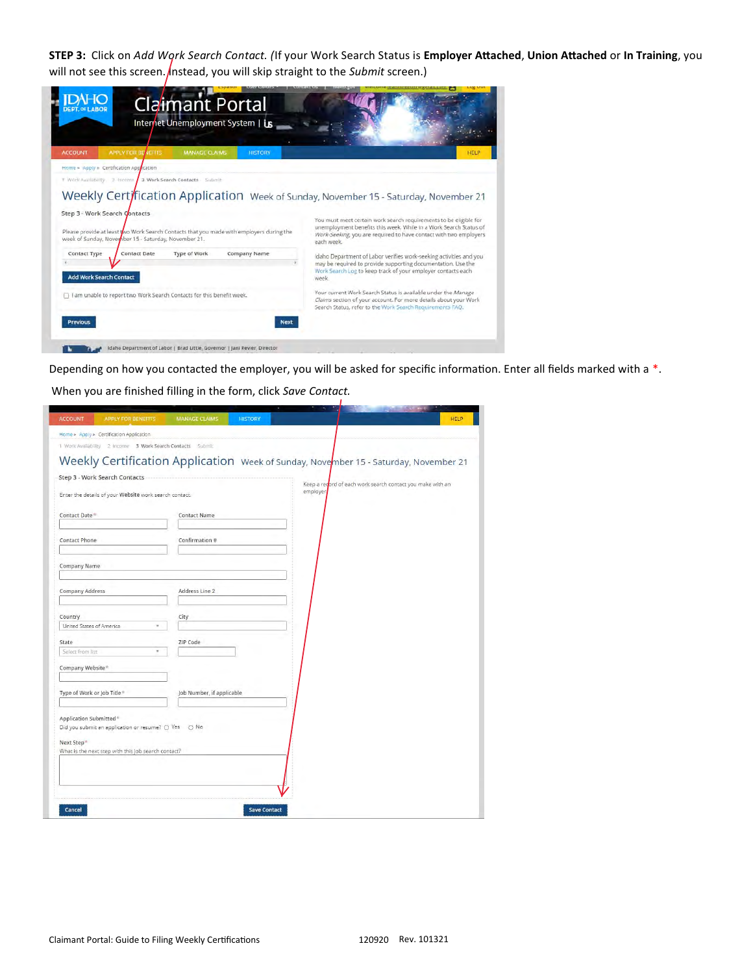**STEP 3:** Click on *Add Work Search Contact. (*If your Work Search Status is **Employer Attached**, **Union Attached** or **In Training**, you will not see this screen. *Instead*, you will skip straight to the *Submit* screen.)

| HEL                                                                                                                                                                                                                                                                                                  |
|------------------------------------------------------------------------------------------------------------------------------------------------------------------------------------------------------------------------------------------------------------------------------------------------------|
|                                                                                                                                                                                                                                                                                                      |
|                                                                                                                                                                                                                                                                                                      |
| Weekly Certification Application Week of Sunday, November 15 - Saturday, November 21<br>You must meet certain work search requirements to be eligible for<br>unemployment benefits this week. While in a Work Search Status of<br>Work-Seeking, you are required to have contact with two employers. |
| Idaho Department of Labor verifies work-seeking activities and you<br>may be required to provide supporting documentation. Use the<br>Work Search Log to keep track of your employer contacts each                                                                                                   |
| Your current Work Search Status is available under the Manage<br>Claims section of your account. For more details about your Work<br>Search Status, refer to the Work Search Requirements FAQ.                                                                                                       |
|                                                                                                                                                                                                                                                                                                      |
|                                                                                                                                                                                                                                                                                                      |

Depending on how you contacted the employer, you will be asked for specific information. Enter all fields marked with a \*.

When you are finished filling in the form, click *Save Contact.*

| <b>ACCOUNT</b>           | <b>APPLY FOR BENEFITS</b>                                  | <b>HISTORY</b><br><b>MANAGE CLAIMS</b> | <b>HELP</b>                                                                          |
|--------------------------|------------------------------------------------------------|----------------------------------------|--------------------------------------------------------------------------------------|
|                          | Home » Apply » Certification Application                   |                                        |                                                                                      |
|                          | 1 Work Availability 2 Income 3 Work Search Contacts Submit |                                        |                                                                                      |
|                          |                                                            |                                        | Weekly Certification Application Week of Sunday, November 15 - Saturday, November 21 |
|                          | Step 3 - Work Search Contacts                              |                                        |                                                                                      |
|                          |                                                            |                                        | Keep a regord of each work search contact you make with an<br>employer               |
|                          | Enter the details of your Website work search contact.     |                                        |                                                                                      |
| Contact Date             |                                                            | <b>Contact Name</b>                    |                                                                                      |
|                          |                                                            |                                        |                                                                                      |
| <b>Contact Phone</b>     |                                                            | Confirmation #                         |                                                                                      |
|                          |                                                            |                                        |                                                                                      |
| Company Name             |                                                            |                                        |                                                                                      |
|                          |                                                            |                                        |                                                                                      |
| <b>Company Address</b>   |                                                            | Address Line 2                         |                                                                                      |
|                          |                                                            |                                        |                                                                                      |
| Country                  |                                                            | City                                   |                                                                                      |
| United States of America |                                                            | ×                                      |                                                                                      |
| State                    |                                                            | ZIP Code                               |                                                                                      |
| Select from list         |                                                            | ×                                      |                                                                                      |
| Company Website*         |                                                            |                                        |                                                                                      |
|                          |                                                            |                                        |                                                                                      |
|                          | Type of Work or Job Title*                                 | Job Number, if applicable              |                                                                                      |
|                          |                                                            |                                        |                                                                                      |
| Application Submitted *  |                                                            |                                        |                                                                                      |
|                          | Did you submit an application or resume? O Yes O No        |                                        |                                                                                      |
| Next Step*               |                                                            |                                        |                                                                                      |
|                          | What is the next step with this job search contact?        |                                        |                                                                                      |
|                          |                                                            |                                        |                                                                                      |
|                          |                                                            |                                        |                                                                                      |
|                          |                                                            |                                        |                                                                                      |
|                          |                                                            |                                        |                                                                                      |
| Cancel                   |                                                            | <b>Save Contact</b>                    |                                                                                      |